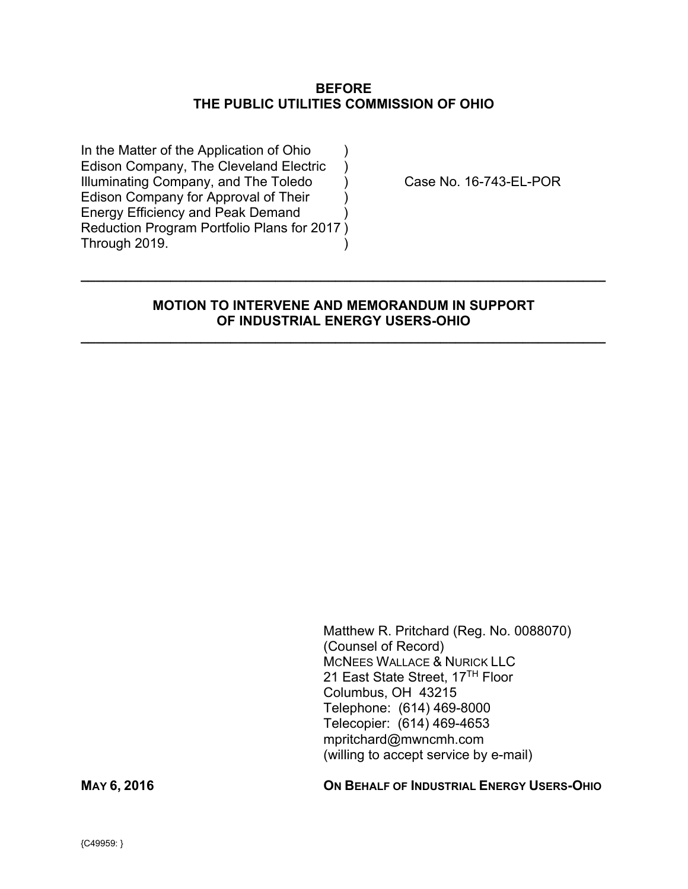### **BEFORE THE PUBLIC UTILITIES COMMISSION OF OHIO**

In the Matter of the Application of Ohio Edison Company, The Cleveland Electric ) Illuminating Company, and The Toledo  $\qquad$  ) Case No. 16-743-EL-POR Edison Company for Approval of Their ) Energy Efficiency and Peak Demand ) Reduction Program Portfolio Plans for 2017 ) Through 2019.

## **MOTION TO INTERVENE AND MEMORANDUM IN SUPPORT OF INDUSTRIAL ENERGY USERS-OHIO**

**\_\_\_\_\_\_\_\_\_\_\_\_\_\_\_\_\_\_\_\_\_\_\_\_\_\_\_\_\_\_\_\_\_\_\_\_\_\_\_\_\_\_\_\_\_\_\_\_\_\_\_\_\_\_\_\_\_\_\_\_\_\_\_\_\_\_\_\_\_\_** 

**\_\_\_\_\_\_\_\_\_\_\_\_\_\_\_\_\_\_\_\_\_\_\_\_\_\_\_\_\_\_\_\_\_\_\_\_\_\_\_\_\_\_\_\_\_\_\_\_\_\_\_\_\_\_\_\_\_\_\_\_\_\_\_\_\_\_\_\_\_\_** 

Matthew R. Pritchard (Reg. No. 0088070) (Counsel of Record) MCNEES WALLACE & NURICK LLC 21 East State Street, 17<sup>TH</sup> Floor Columbus, OH 43215 Telephone: (614) 469-8000 Telecopier: (614) 469-4653 mpritchard@mwncmh.com (willing to accept service by e-mail)

**MAY 6, 2016 ON BEHALF OF INDUSTRIAL ENERGY USERS-OHIO**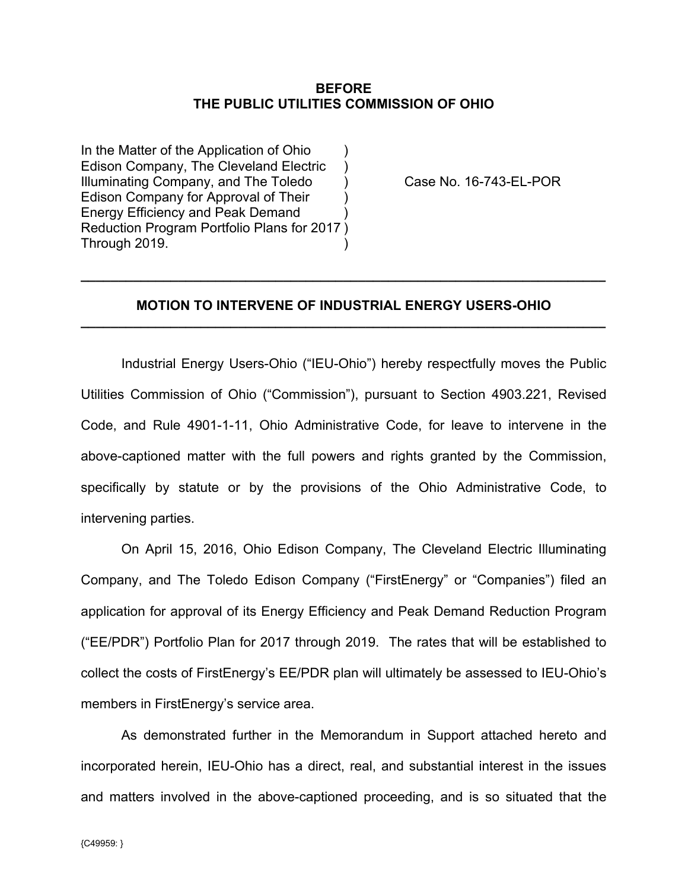### **BEFORE THE PUBLIC UTILITIES COMMISSION OF OHIO**

In the Matter of the Application of Ohio Edison Company, The Cleveland Electric ) Illuminating Company, and The Toledo (a) Case No. 16-743-EL-POR Edison Company for Approval of Their ) Energy Efficiency and Peak Demand ) Reduction Program Portfolio Plans for 2017 ) Through 2019.

## **MOTION TO INTERVENE OF INDUSTRIAL ENERGY USERS-OHIO \_\_\_\_\_\_\_\_\_\_\_\_\_\_\_\_\_\_\_\_\_\_\_\_\_\_\_\_\_\_\_\_\_\_\_\_\_\_\_\_\_\_\_\_\_\_\_\_\_\_\_\_\_\_\_\_\_\_\_\_\_\_\_\_\_\_\_\_\_\_**

**\_\_\_\_\_\_\_\_\_\_\_\_\_\_\_\_\_\_\_\_\_\_\_\_\_\_\_\_\_\_\_\_\_\_\_\_\_\_\_\_\_\_\_\_\_\_\_\_\_\_\_\_\_\_\_\_\_\_\_\_\_\_\_\_\_\_\_\_\_\_** 

Industrial Energy Users-Ohio ("IEU-Ohio") hereby respectfully moves the Public Utilities Commission of Ohio ("Commission"), pursuant to Section 4903.221, Revised Code, and Rule 4901-1-11, Ohio Administrative Code, for leave to intervene in the above-captioned matter with the full powers and rights granted by the Commission, specifically by statute or by the provisions of the Ohio Administrative Code, to intervening parties.

On April 15, 2016, Ohio Edison Company, The Cleveland Electric Illuminating Company, and The Toledo Edison Company ("FirstEnergy" or "Companies") filed an application for approval of its Energy Efficiency and Peak Demand Reduction Program ("EE/PDR") Portfolio Plan for 2017 through 2019. The rates that will be established to collect the costs of FirstEnergy's EE/PDR plan will ultimately be assessed to IEU-Ohio's members in FirstEnergy's service area.

As demonstrated further in the Memorandum in Support attached hereto and incorporated herein, IEU-Ohio has a direct, real, and substantial interest in the issues and matters involved in the above-captioned proceeding, and is so situated that the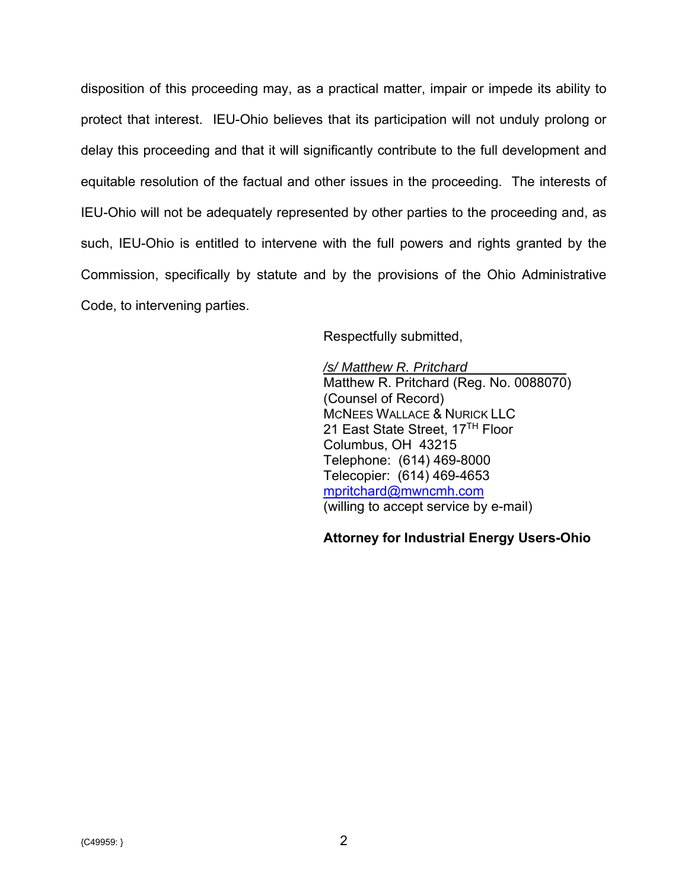disposition of this proceeding may, as a practical matter, impair or impede its ability to protect that interest. IEU-Ohio believes that its participation will not unduly prolong or delay this proceeding and that it will significantly contribute to the full development and equitable resolution of the factual and other issues in the proceeding. The interests of IEU-Ohio will not be adequately represented by other parties to the proceeding and, as such, IEU-Ohio is entitled to intervene with the full powers and rights granted by the Commission, specifically by statute and by the provisions of the Ohio Administrative Code, to intervening parties.

Respectfully submitted,

*/s/ Matthew R. Pritchard*  Matthew R. Pritchard (Reg. No. 0088070) (Counsel of Record) MCNEES WALLACE & NURICK LLC 21 East State Street, 17<sup>TH</sup> Floor Columbus, OH 43215 Telephone: (614) 469-8000 Telecopier: (614) 469-4653 mpritchard@mwncmh.com (willing to accept service by e-mail)

# **Attorney for Industrial Energy Users-Ohio**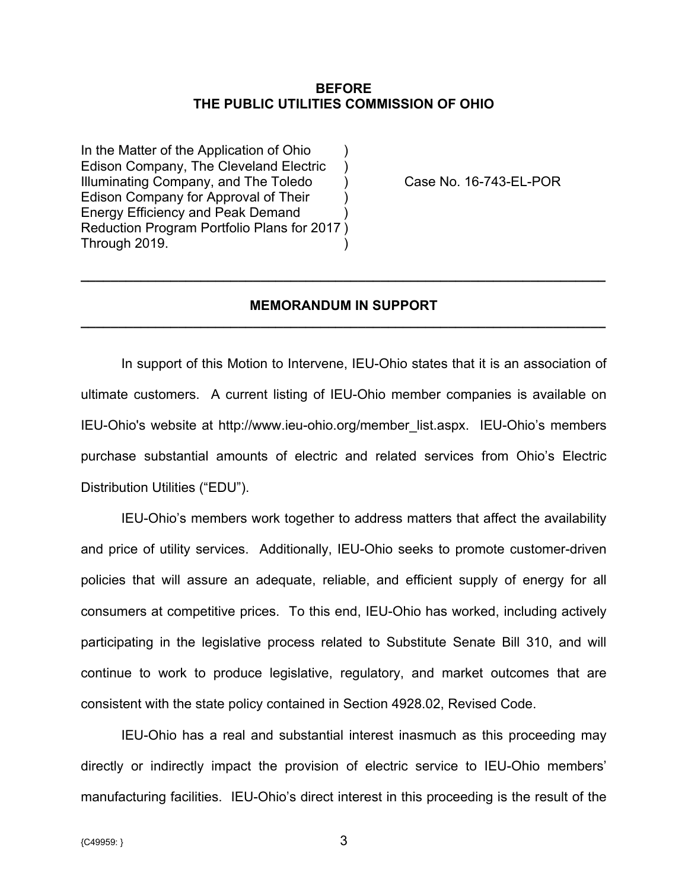### **BEFORE THE PUBLIC UTILITIES COMMISSION OF OHIO**

In the Matter of the Application of Ohio Edison Company, The Cleveland Electric ) Illuminating Company, and The Toledo (a) Case No. 16-743-EL-POR Edison Company for Approval of Their ) Energy Efficiency and Peak Demand ) Reduction Program Portfolio Plans for 2017 ) Through 2019.

## **MEMORANDUM IN SUPPORT \_\_\_\_\_\_\_\_\_\_\_\_\_\_\_\_\_\_\_\_\_\_\_\_\_\_\_\_\_\_\_\_\_\_\_\_\_\_\_\_\_\_\_\_\_\_\_\_\_\_\_\_\_\_\_\_\_\_\_\_\_\_\_\_\_\_\_\_\_\_**

**\_\_\_\_\_\_\_\_\_\_\_\_\_\_\_\_\_\_\_\_\_\_\_\_\_\_\_\_\_\_\_\_\_\_\_\_\_\_\_\_\_\_\_\_\_\_\_\_\_\_\_\_\_\_\_\_\_\_\_\_\_\_\_\_\_\_\_\_\_\_** 

In support of this Motion to Intervene, IEU-Ohio states that it is an association of ultimate customers. A current listing of IEU-Ohio member companies is available on IEU-Ohio's website at http://www.ieu-ohio.org/member\_list.aspx. IEU-Ohio's members purchase substantial amounts of electric and related services from Ohio's Electric Distribution Utilities ("EDU").

IEU-Ohio's members work together to address matters that affect the availability and price of utility services. Additionally, IEU-Ohio seeks to promote customer-driven policies that will assure an adequate, reliable, and efficient supply of energy for all consumers at competitive prices. To this end, IEU-Ohio has worked, including actively participating in the legislative process related to Substitute Senate Bill 310, and will continue to work to produce legislative, regulatory, and market outcomes that are consistent with the state policy contained in Section 4928.02, Revised Code.

IEU-Ohio has a real and substantial interest inasmuch as this proceeding may directly or indirectly impact the provision of electric service to IEU-Ohio members' manufacturing facilities. IEU-Ohio's direct interest in this proceeding is the result of the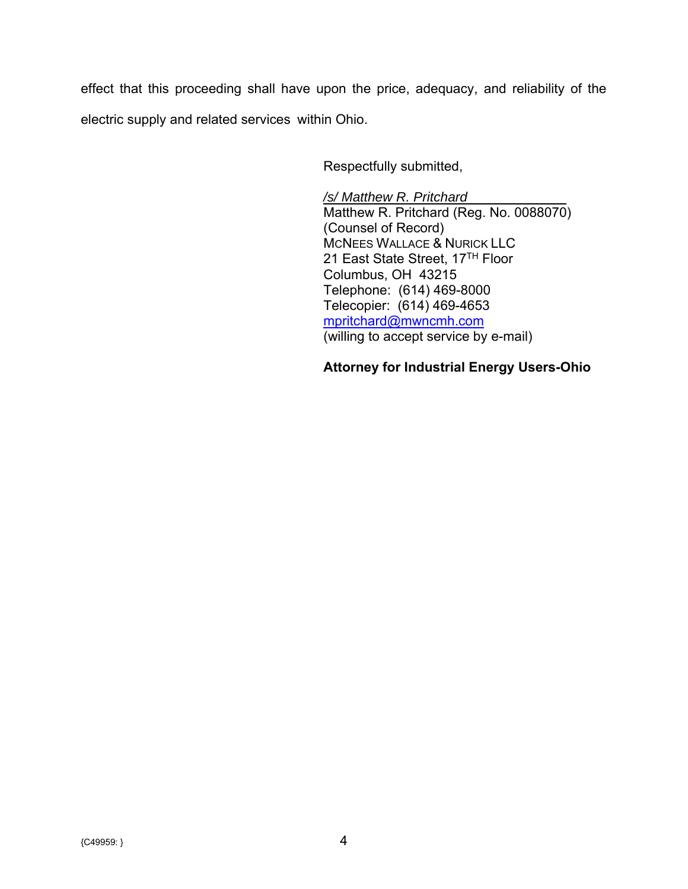effect that this proceeding shall have upon the price, adequacy, and reliability of the electric supply and related services within Ohio.

Respectfully submitted,

*/s/ Matthew R. Pritchard*  Matthew R. Pritchard (Reg. No. 0088070) (Counsel of Record) MCNEES WALLACE & NURICK LLC 21 East State Street, 17TH Floor Columbus, OH 43215 Telephone: (614) 469-8000 Telecopier: (614) 469-4653 mpritchard@mwncmh.com (willing to accept service by e-mail)

# **Attorney for Industrial Energy Users-Ohio**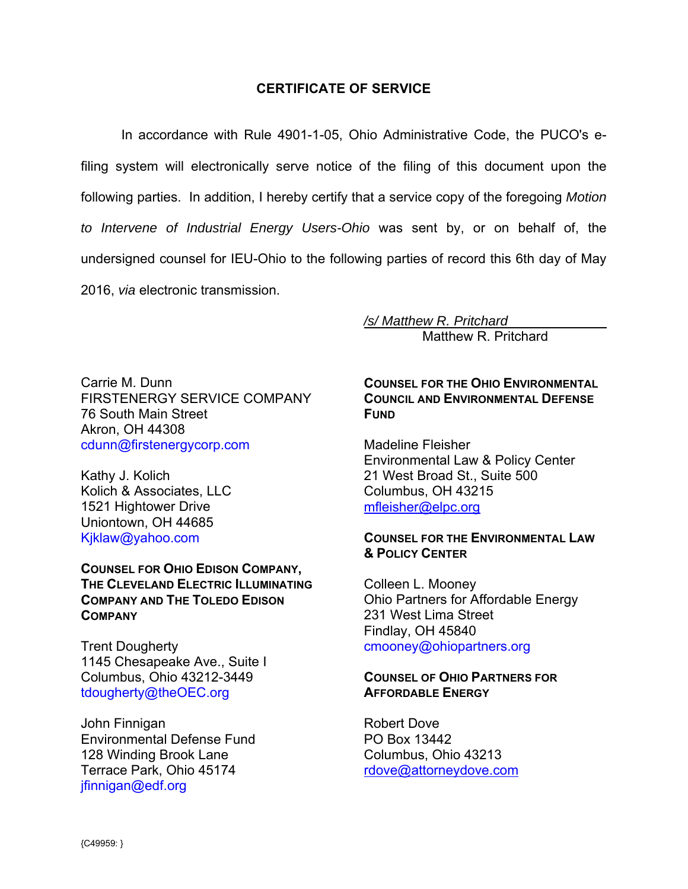## **CERTIFICATE OF SERVICE**

In accordance with Rule 4901-1-05, Ohio Administrative Code, the PUCO's efiling system will electronically serve notice of the filing of this document upon the following parties. In addition, I hereby certify that a service copy of the foregoing *Motion to Intervene of Industrial Energy Users-Ohio* was sent by, or on behalf of, the undersigned counsel for IEU-Ohio to the following parties of record this 6th day of May 2016, *via* electronic transmission.

> */s/ Matthew R. Pritchard*  Matthew R. Pritchard

Carrie M. Dunn FIRSTENERGY SERVICE COMPANY 76 South Main Street Akron, OH 44308 cdunn@firstenergycorp.com

Kathy J. Kolich Kolich & Associates, LLC 1521 Hightower Drive Uniontown, OH 44685 Kjklaw@yahoo.com

**COUNSEL FOR OHIO EDISON COMPANY, THE CLEVELAND ELECTRIC ILLUMINATING COMPANY AND THE TOLEDO EDISON COMPANY**

Trent Dougherty 1145 Chesapeake Ave., Suite I Columbus, Ohio 43212-3449 tdougherty@theOEC.org

John Finnigan Environmental Defense Fund 128 Winding Brook Lane Terrace Park, Ohio 45174 jfinnigan@edf.org

# **COUNSEL FOR THE OHIO ENVIRONMENTAL COUNCIL AND ENVIRONMENTAL DEFENSE FUND**

Madeline Fleisher Environmental Law & Policy Center 21 West Broad St., Suite 500 Columbus, OH 43215 mfleisher@elpc.org

### **COUNSEL FOR THE ENVIRONMENTAL LAW & POLICY CENTER**

Colleen L. Mooney Ohio Partners for Affordable Energy 231 West Lima Street Findlay, OH 45840 cmooney@ohiopartners.org

### **COUNSEL OF OHIO PARTNERS FOR AFFORDABLE ENERGY**

Robert Dove PO Box 13442 Columbus, Ohio 43213 rdove@attorneydove.com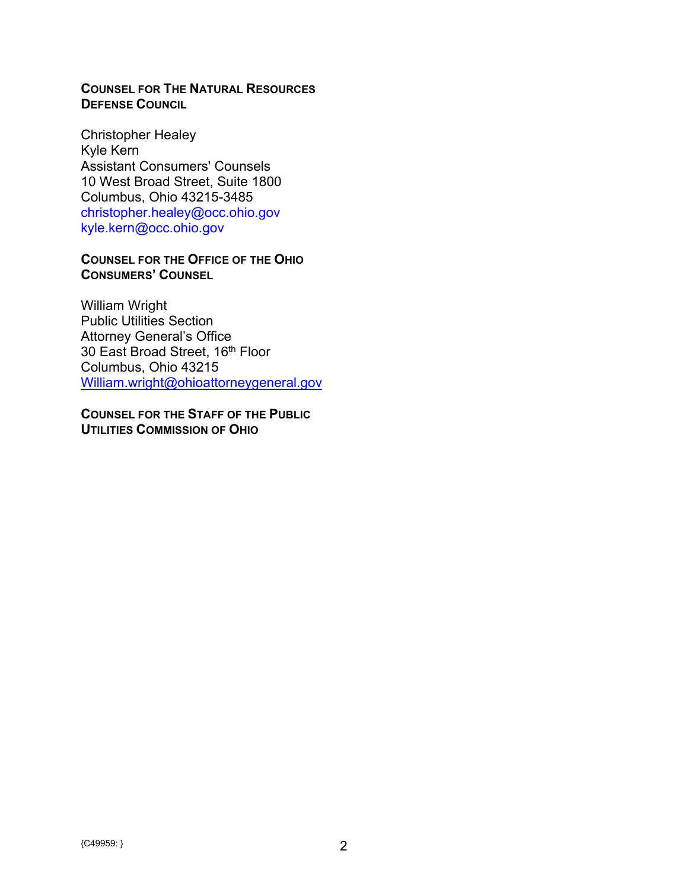# **COUNSEL FOR THE NATURAL RESOURCES DEFENSE COUNCIL**

Christopher Healey Kyle Kern Assistant Consumers' Counsels 10 West Broad Street, Suite 1800 Columbus, Ohio 43215-3485 christopher.healey@occ.ohio.gov kyle.kern@occ.ohio.gov

## **COUNSEL FOR THE OFFICE OF THE OHIO CONSUMERS' COUNSEL**

William Wright Public Utilities Section Attorney General's Office 30 East Broad Street, 16<sup>th</sup> Floor Columbus, Ohio 43215 William.wright@ohioattorneygeneral.gov

**COUNSEL FOR THE STAFF OF THE PUBLIC UTILITIES COMMISSION OF OHIO**